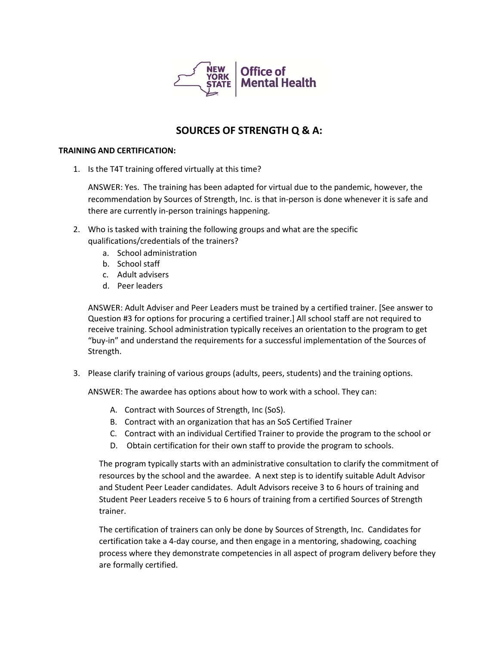

# **SOURCES OF STRENGTH Q & A:**

## **TRAINING AND CERTIFICATION:**

1. Is the T4T training offered virtually at this time?

ANSWER: Yes. The training has been adapted for virtual due to the pandemic, however, the recommendation by Sources of Strength, Inc. is that in-person is done whenever it is safe and there are currently in-person trainings happening.

- 2. Who is tasked with training the following groups and what are the specific qualifications/credentials of the trainers?
	- a. School administration
	- b. School staff
	- c. Adult advisers
	- d. Peer leaders

ANSWER: Adult Adviser and Peer Leaders must be trained by a certified trainer. [See answer to Question #3 for options for procuring a certified trainer.] All school staff are not required to receive training. School administration typically receives an orientation to the program to get "buy-in" and understand the requirements for a successful implementation of the Sources of Strength.

3. Please clarify training of various groups (adults, peers, students) and the training options.

ANSWER: The awardee has options about how to work with a school. They can:

- A. Contract with Sources of Strength, Inc (SoS).
- B. Contract with an organization that has an SoS Certified Trainer
- C. Contract with an individual Certified Trainer to provide the program to the school or
- D. Obtain certification for their own staff to provide the program to schools.

The program typically starts with an administrative consultation to clarify the commitment of resources by the school and the awardee. A next step is to identify suitable Adult Advisor and Student Peer Leader candidates. Adult Advisors receive 3 to 6 hours of training and Student Peer Leaders receive 5 to 6 hours of training from a certified Sources of Strength trainer.

The certification of trainers can only be done by Sources of Strength, Inc. Candidates for certification take a 4-day course, and then engage in a mentoring, shadowing, coaching process where they demonstrate competencies in all aspect of program delivery before they are formally certified.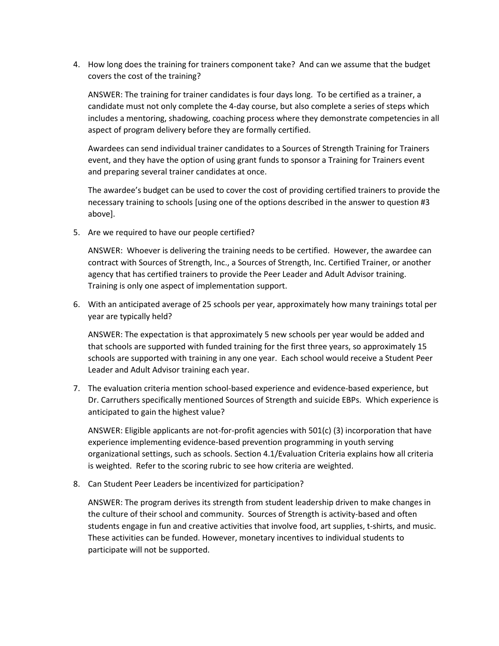4. How long does the training for trainers component take? And can we assume that the budget covers the cost of the training?

ANSWER: The training for trainer candidates is four days long. To be certified as a trainer, a candidate must not only complete the 4-day course, but also complete a series of steps which includes a mentoring, shadowing, coaching process where they demonstrate competencies in all aspect of program delivery before they are formally certified.

Awardees can send individual trainer candidates to a Sources of Strength Training for Trainers event, and they have the option of using grant funds to sponsor a Training for Trainers event and preparing several trainer candidates at once.

The awardee's budget can be used to cover the cost of providing certified trainers to provide the necessary training to schools [using one of the options described in the answer to question #3 above].

5. Are we required to have our people certified?

ANSWER: Whoever is delivering the training needs to be certified. However, the awardee can contract with Sources of Strength, Inc., a Sources of Strength, Inc. Certified Trainer, or another agency that has certified trainers to provide the Peer Leader and Adult Advisor training. Training is only one aspect of implementation support.

6. With an anticipated average of 25 schools per year, approximately how many trainings total per year are typically held?

ANSWER: The expectation is that approximately 5 new schools per year would be added and that schools are supported with funded training for the first three years, so approximately 15 schools are supported with training in any one year. Each school would receive a Student Peer Leader and Adult Advisor training each year.

7. The evaluation criteria mention school-based experience and evidence-based experience, but Dr. Carruthers specifically mentioned Sources of Strength and suicide EBPs. Which experience is anticipated to gain the highest value?

ANSWER: Eligible applicants are not-for-profit agencies with 501(c) (3) incorporation that have experience implementing evidence-based prevention programming in youth serving organizational settings, such as schools. Section 4.1/Evaluation Criteria explains how all criteria is weighted. Refer to the scoring rubric to see how criteria are weighted.

8. Can Student Peer Leaders be incentivized for participation?

ANSWER: The program derives its strength from student leadership driven to make changes in the culture of their school and community. Sources of Strength is activity-based and often students engage in fun and creative activities that involve food, art supplies, t-shirts, and music. These activities can be funded. However, monetary incentives to individual students to participate will not be supported.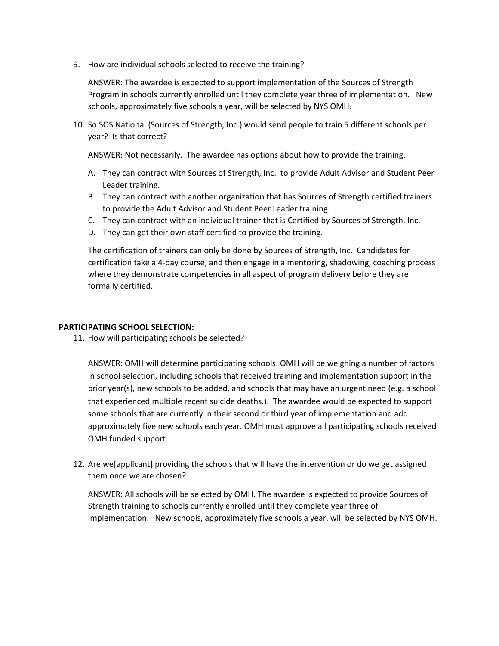9. How are individual schools selected to receive the training?

ANSWER: The awardee is expected to support implementation of the Sources of Strength Program in schools currently enrolled until they complete year three of implementation. New schools, approximately five schools a year, will be selected by NYS OMH.

10. So SOS National (Sources of Strength, Inc.) would send people to train 5 different schools per year? Is that correct?

ANSWER: Not necessarily. The awardee has options about how to provide the training.

- A. They can contract with Sources of Strength, Inc. to provide Adult Advisor and Student Peer Leader training.
- B. They can contract with another organization that has Sources of Strength certified trainers to provide the Adult Advisor and Student Peer Leader training.
- C. They can contract with an individual trainer that is Certified by Sources of Strength, Inc.
- D. They can get their own staff certified to provide the training.

The certification of trainers can only be done by Sources of Strength, Inc. Candidates for certification take a 4-day course, and then engage in a mentoring, shadowing, coaching process where they demonstrate competencies in all aspect of program delivery before they are formally certified.

## **PARTICIPATING SCHOOL SELECTION:**

11. How will participating schools be selected?

ANSWER: OMH will determine participating schools. OMH will be weighing a number of factors in school selection, including schools that received training and implementation support in the prior year(s), new schools to be added, and schools that may have an urgent need (e.g. a school that experienced multiple recent suicide deaths.). The awardee would be expected to support some schools that are currently in their second or third year of implementation and add approximately five new schools each year. OMH must approve all participating schools received OMH funded support.

12. Are we[applicant] providing the schools that will have the intervention or do we get assigned them once we are chosen?

ANSWER: All schools will be selected by OMH. The awardee is expected to provide Sources of Strength training to schools currently enrolled until they complete year three of implementation. New schools, approximately five schools a year, will be selected by NYS OMH.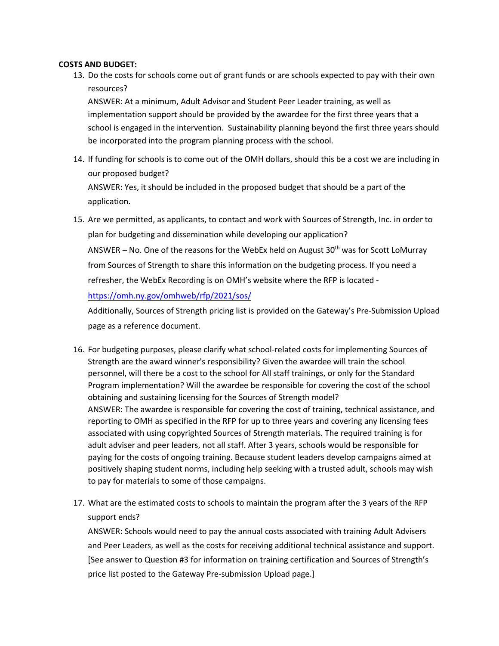## **COSTS AND BUDGET:**

13. Do the costs for schools come out of grant funds or are schools expected to pay with their own resources?

ANSWER: At a minimum, Adult Advisor and Student Peer Leader training, as well as implementation support should be provided by the awardee for the first three years that a school is engaged in the intervention. Sustainability planning beyond the first three years should be incorporated into the program planning process with the school.

- 14. If funding for schools is to come out of the OMH dollars, should this be a cost we are including in our proposed budget? ANSWER: Yes, it should be included in the proposed budget that should be a part of the application.
- 15. Are we permitted, as applicants, to contact and work with Sources of Strength, Inc. in order to plan for budgeting and dissemination while developing our application? ANSWER - No. One of the reasons for the WebEx held on August 30<sup>th</sup> was for Scott LoMurray from Sources of Strength to share this information on the budgeting process. If you need a refresher, the WebEx Recording is on OMH's website where the RFP is located <https://omh.ny.gov/omhweb/rfp/2021/sos/>

Additionally, Sources of Strength pricing list is provided on the Gateway's Pre-Submission Upload page as a reference document.

- 16. For budgeting purposes, please clarify what school-related costs for implementing Sources of Strength are the award winner's responsibility? Given the awardee will train the school personnel, will there be a cost to the school for All staff trainings, or only for the Standard Program implementation? Will the awardee be responsible for covering the cost of the school obtaining and sustaining licensing for the Sources of Strength model? ANSWER: The awardee is responsible for covering the cost of training, technical assistance, and reporting to OMH as specified in the RFP for up to three years and covering any licensing fees associated with using copyrighted Sources of Strength materials. The required training is for adult adviser and peer leaders, not all staff. After 3 years, schools would be responsible for paying for the costs of ongoing training. Because student leaders develop campaigns aimed at positively shaping student norms, including help seeking with a trusted adult, schools may wish to pay for materials to some of those campaigns.
- 17. What are the estimated costs to schools to maintain the program after the 3 years of the RFP support ends?

ANSWER: Schools would need to pay the annual costs associated with training Adult Advisers and Peer Leaders, as well as the costs for receiving additional technical assistance and support. [See answer to Question #3 for information on training certification and Sources of Strength's price list posted to the Gateway Pre-submission Upload page.]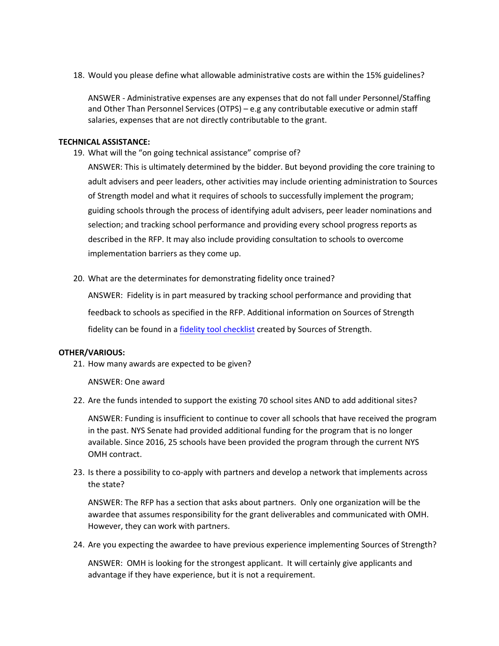18. Would you please define what allowable administrative costs are within the 15% guidelines?

ANSWER - Administrative expenses are any expenses that do not fall under Personnel/Staffing and Other Than Personnel Services (OTPS) – e.g any contributable executive or admin staff salaries, expenses that are not directly contributable to the grant.

#### **TECHNICAL ASSISTANCE:**

19. What will the "on going technical assistance" comprise of?

ANSWER: This is ultimately determined by the bidder. But beyond providing the core training to adult advisers and peer leaders, other activities may include orienting administration to Sources of Strength model and what it requires of schools to successfully implement the program; guiding schools through the process of identifying adult advisers, peer leader nominations and selection; and tracking school performance and providing every school progress reports as described in the RFP. It may also include providing consultation to schools to overcome implementation barriers as they come up.

20. What are the determinates for demonstrating fidelity once trained?

ANSWER: Fidelity is in part measured by tracking school performance and providing that feedback to schools as specified in the RFP. Additional information on Sources of Strength fidelity can be found in [a fidelity tool checklist](https://drive.google.com/file/d/1iPU86YhoBEzEqc8GWeO-y4aohwDpa2J7/view?usp=sharing) created by Sources of Strength.

#### **OTHER/VARIOUS:**

21. How many awards are expected to be given?

ANSWER: One award

22. Are the funds intended to support the existing 70 school sites AND to add additional sites?

ANSWER: Funding is insufficient to continue to cover all schools that have received the program in the past. NYS Senate had provided additional funding for the program that is no longer available. Since 2016, 25 schools have been provided the program through the current NYS OMH contract.

23. Is there a possibility to co-apply with partners and develop a network that implements across the state?

ANSWER: The RFP has a section that asks about partners. Only one organization will be the awardee that assumes responsibility for the grant deliverables and communicated with OMH. However, they can work with partners.

24. Are you expecting the awardee to have previous experience implementing Sources of Strength?

ANSWER: OMH is looking for the strongest applicant. It will certainly give applicants and advantage if they have experience, but it is not a requirement.